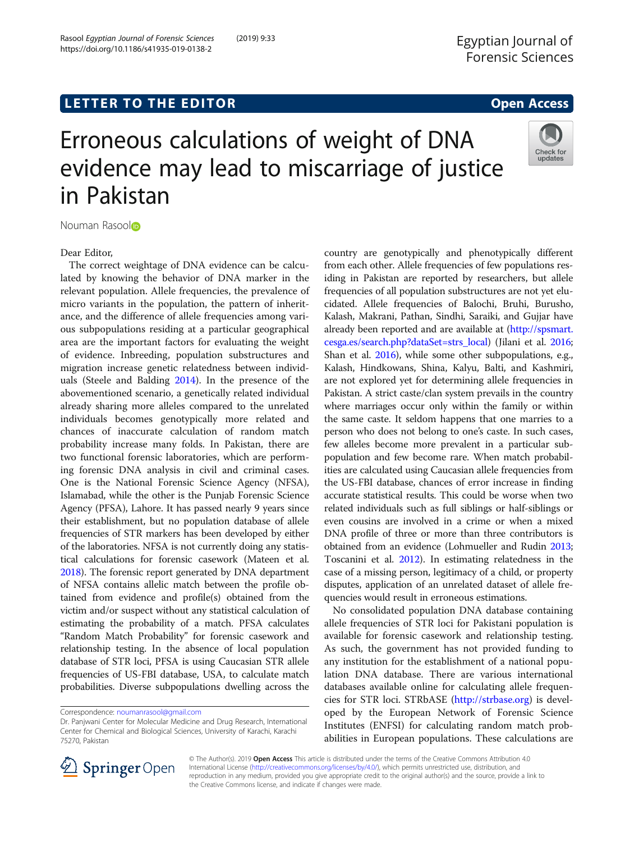Check for updates

# Erroneous calculations of weight of DNA evidence may lead to miscarriage of justice in Pakistan



## Dear Editor,

The correct weightage of DNA evidence can be calculated by knowing the behavior of DNA marker in the relevant population. Allele frequencies, the prevalence of micro variants in the population, the pattern of inheritance, and the difference of allele frequencies among various subpopulations residing at a particular geographical area are the important factors for evaluating the weight of evidence. Inbreeding, population substructures and migration increase genetic relatedness between individuals (Steele and Balding [2014\)](#page-2-0). In the presence of the abovementioned scenario, a genetically related individual already sharing more alleles compared to the unrelated individuals becomes genotypically more related and chances of inaccurate calculation of random match probability increase many folds. In Pakistan, there are two functional forensic laboratories, which are performing forensic DNA analysis in civil and criminal cases. One is the National Forensic Science Agency (NFSA), Islamabad, while the other is the Punjab Forensic Science Agency (PFSA), Lahore. It has passed nearly 9 years since their establishment, but no population database of allele frequencies of STR markers has been developed by either of the laboratories. NFSA is not currently doing any statistical calculations for forensic casework (Mateen et al. [2018\)](#page-2-0). The forensic report generated by DNA department of NFSA contains allelic match between the profile obtained from evidence and profile(s) obtained from the victim and/or suspect without any statistical calculation of estimating the probability of a match. PFSA calculates "Random Match Probability" for forensic casework and relationship testing. In the absence of local population database of STR loci, PFSA is using Caucasian STR allele frequencies of US-FBI database, USA, to calculate match probabilities. Diverse subpopulations dwelling across the

country are genotypically and phenotypically different from each other. Allele frequencies of few populations residing in Pakistan are reported by researchers, but allele frequencies of all population substructures are not yet elucidated. Allele frequencies of Balochi, Bruhi, Burusho, Kalash, Makrani, Pathan, Sindhi, Saraiki, and Gujjar have already been reported and are available at [\(http://spsmart.](http://spsmart.cesga.es/search.php?dataSet=strs_local) [cesga.es/search.php?dataSet=strs\\_local](http://spsmart.cesga.es/search.php?dataSet=strs_local)) (Jilani et al. [2016](#page-2-0); Shan et al. [2016\)](#page-2-0), while some other subpopulations, e.g., Kalash, Hindkowans, Shina, Kalyu, Balti, and Kashmiri, are not explored yet for determining allele frequencies in Pakistan. A strict caste/clan system prevails in the country where marriages occur only within the family or within the same caste. It seldom happens that one marries to a person who does not belong to one's caste. In such cases, few alleles become more prevalent in a particular subpopulation and few become rare. When match probabilities are calculated using Caucasian allele frequencies from the US-FBI database, chances of error increase in finding accurate statistical results. This could be worse when two related individuals such as full siblings or half-siblings or even cousins are involved in a crime or when a mixed DNA profile of three or more than three contributors is obtained from an evidence (Lohmueller and Rudin [2013](#page-2-0); Toscanini et al. [2012](#page-2-0)). In estimating relatedness in the case of a missing person, legitimacy of a child, or property disputes, application of an unrelated dataset of allele frequencies would result in erroneous estimations.

No consolidated population DNA database containing allele frequencies of STR loci for Pakistani population is available for forensic casework and relationship testing. As such, the government has not provided funding to any institution for the establishment of a national population DNA database. There are various international databases available online for calculating allele frequencies for STR loci. STRbASE (<http://strbase.org>) is developed by the European Network of Forensic Science Institutes (ENFSI) for calculating random match probabilities in European populations. These calculations are



© The Author(s). 2019 Open Access This article is distributed under the terms of the Creative Commons Attribution 4.0 International License ([http://creativecommons.org/licenses/by/4.0/\)](http://creativecommons.org/licenses/by/4.0/), which permits unrestricted use, distribution, and reproduction in any medium, provided you give appropriate credit to the original author(s) and the source, provide a link to the Creative Commons license, and indicate if changes were made.

Correspondence: [noumanrasool@gmail.com](mailto:noumanrasool@gmail.com)

Dr. Panjwani Center for Molecular Medicine and Drug Research, International Center for Chemical and Biological Sciences, University of Karachi, Karachi 75270, Pakistan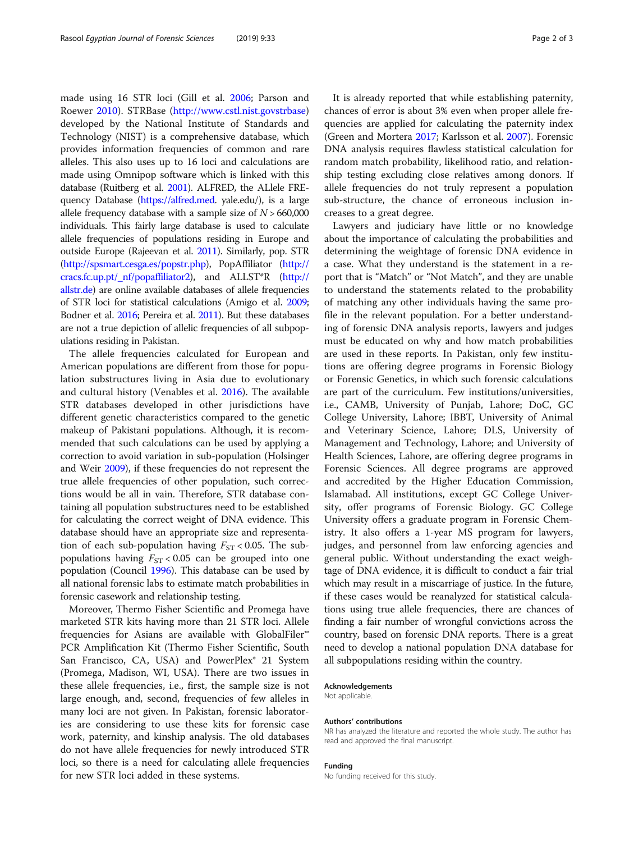made using 16 STR loci (Gill et al. [2006;](#page-2-0) Parson and Roewer [2010](#page-2-0)). STRBase (<http://www.cstl.nist.govstrbase>) developed by the National Institute of Standards and Technology (NIST) is a comprehensive database, which provides information frequencies of common and rare alleles. This also uses up to 16 loci and calculations are made using Omnipop software which is linked with this database (Ruitberg et al. [2001](#page-2-0)). ALFRED, the ALlele FREquency Database [\(https://alfred.med.](https://alfred.med) yale.edu/), is a large allele frequency database with a sample size of  $N > 660,000$ individuals. This fairly large database is used to calculate allele frequencies of populations residing in Europe and outside Europe (Rajeevan et al. [2011](#page-2-0)). Similarly, pop. STR (<http://spsmart.cesga.es/popstr.php>), PopAffiliator [\(http://](http://cracs.fc.up.pt/_nf/popaffiliator2) [cracs.fc.up.pt/\\_nf/popaffiliator2](http://cracs.fc.up.pt/_nf/popaffiliator2)), and ALLST\*R [\(http://](http://allstr.de) [allstr.de\)](http://allstr.de) are online available databases of allele frequencies of STR loci for statistical calculations (Amigo et al. [2009](#page-2-0); Bodner et al. [2016](#page-2-0); Pereira et al. [2011](#page-2-0)). But these databases are not a true depiction of allelic frequencies of all subpopulations residing in Pakistan.

The allele frequencies calculated for European and American populations are different from those for population substructures living in Asia due to evolutionary and cultural history (Venables et al. [2016\)](#page-2-0). The available STR databases developed in other jurisdictions have different genetic characteristics compared to the genetic makeup of Pakistani populations. Although, it is recommended that such calculations can be used by applying a correction to avoid variation in sub-population (Holsinger and Weir [2009](#page-2-0)), if these frequencies do not represent the true allele frequencies of other population, such corrections would be all in vain. Therefore, STR database containing all population substructures need to be established for calculating the correct weight of DNA evidence. This database should have an appropriate size and representation of each sub-population having  $F_{ST}$  < 0.05. The subpopulations having  $F_{ST}$  < 0.05 can be grouped into one population (Council [1996\)](#page-2-0). This database can be used by all national forensic labs to estimate match probabilities in forensic casework and relationship testing.

Moreover, Thermo Fisher Scientific and Promega have marketed STR kits having more than 21 STR loci. Allele frequencies for Asians are available with GlobalFiler<sup>™</sup> PCR Amplification Kit (Thermo Fisher Scientific, South San Francisco, CA, USA) and PowerPlex<sup>®</sup> 21 System (Promega, Madison, WI, USA). There are two issues in these allele frequencies, i.e., first, the sample size is not large enough, and, second, frequencies of few alleles in many loci are not given. In Pakistan, forensic laboratories are considering to use these kits for forensic case work, paternity, and kinship analysis. The old databases do not have allele frequencies for newly introduced STR loci, so there is a need for calculating allele frequencies for new STR loci added in these systems.

It is already reported that while establishing paternity, chances of error is about 3% even when proper allele frequencies are applied for calculating the paternity index (Green and Mortera [2017](#page-2-0); Karlsson et al. [2007\)](#page-2-0). Forensic DNA analysis requires flawless statistical calculation for random match probability, likelihood ratio, and relationship testing excluding close relatives among donors. If allele frequencies do not truly represent a population sub-structure, the chance of erroneous inclusion increases to a great degree.

Lawyers and judiciary have little or no knowledge about the importance of calculating the probabilities and determining the weightage of forensic DNA evidence in a case. What they understand is the statement in a report that is "Match" or "Not Match", and they are unable to understand the statements related to the probability of matching any other individuals having the same profile in the relevant population. For a better understanding of forensic DNA analysis reports, lawyers and judges must be educated on why and how match probabilities are used in these reports. In Pakistan, only few institutions are offering degree programs in Forensic Biology or Forensic Genetics, in which such forensic calculations are part of the curriculum. Few institutions/universities, i.e., CAMB, University of Punjab, Lahore; DoC, GC College University, Lahore; IBBT, University of Animal and Veterinary Science, Lahore; DLS, University of Management and Technology, Lahore; and University of Health Sciences, Lahore, are offering degree programs in Forensic Sciences. All degree programs are approved and accredited by the Higher Education Commission, Islamabad. All institutions, except GC College University, offer programs of Forensic Biology. GC College University offers a graduate program in Forensic Chemistry. It also offers a 1-year MS program for lawyers, judges, and personnel from law enforcing agencies and general public. Without understanding the exact weightage of DNA evidence, it is difficult to conduct a fair trial which may result in a miscarriage of justice. In the future, if these cases would be reanalyzed for statistical calculations using true allele frequencies, there are chances of finding a fair number of wrongful convictions across the country, based on forensic DNA reports. There is a great need to develop a national population DNA database for all subpopulations residing within the country.

#### Acknowledgements

Not applicable.

#### Authors' contributions

NR has analyzed the literature and reported the whole study. The author has read and approved the final manuscript.

#### Funding

No funding received for this study.